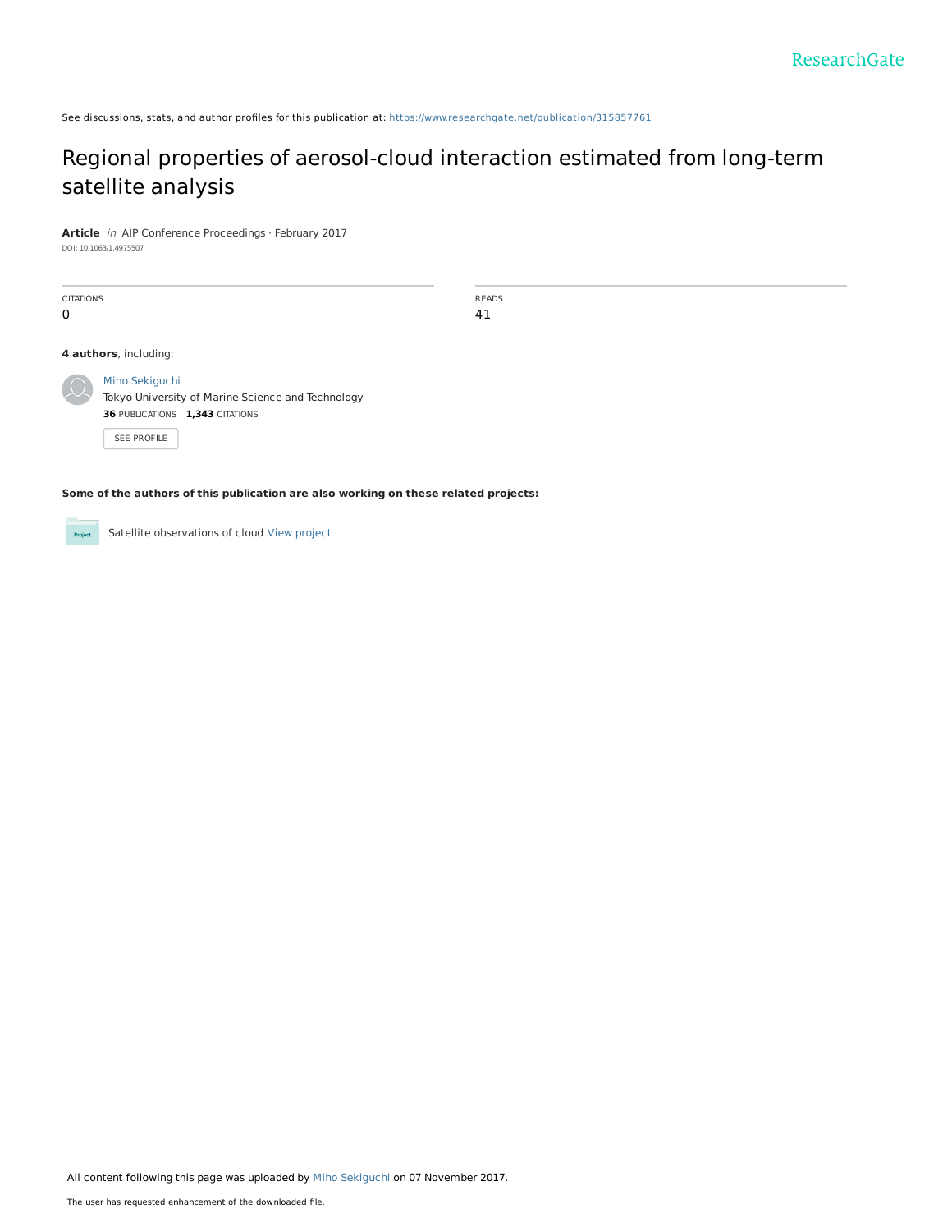See discussions, stats, and author profiles for this publication at: [https://www.researchgate.net/publication/315857761](https://www.researchgate.net/publication/315857761_Regional_properties_of_aerosol-cloud_interaction_estimated_from_long-term_satellite_analysis?enrichId=rgreq-bf1dd62ed82ec87a6b48407653bf038a-XXX&enrichSource=Y292ZXJQYWdlOzMxNTg1Nzc2MTtBUzo1NTc5MjQyOTY5Mzc0NzJAMTUxMDAzMDkyNjEzMw%3D%3D&el=1_x_2&_esc=publicationCoverPdf)

## Regional properties of [aerosol-cloud](https://www.researchgate.net/publication/315857761_Regional_properties_of_aerosol-cloud_interaction_estimated_from_long-term_satellite_analysis?enrichId=rgreq-bf1dd62ed82ec87a6b48407653bf038a-XXX&enrichSource=Y292ZXJQYWdlOzMxNTg1Nzc2MTtBUzo1NTc5MjQyOTY5Mzc0NzJAMTUxMDAzMDkyNjEzMw%3D%3D&el=1_x_3&_esc=publicationCoverPdf) interaction estimated from long-term satellite analysis

**Article** in AIP Conference Proceedings · February 2017 DOI: 10.1063/1.4975507

| <b>CITATIONS</b> |                                                                                                                              | <b>READS</b> |
|------------------|------------------------------------------------------------------------------------------------------------------------------|--------------|
| 0                |                                                                                                                              | 41           |
|                  | 4 authors, including:                                                                                                        |              |
|                  | Miho Sekiguchi<br>Tokyo University of Marine Science and Technology<br><b>36 PUBLICATIONS 1,343 CITATIONS</b><br>SEE PROFILE |              |

**Some of the authors of this publication are also working on these related projects:**

Project

Satellite observations of cloud View [project](https://www.researchgate.net/project/Satellite-observations-of-cloud?enrichId=rgreq-bf1dd62ed82ec87a6b48407653bf038a-XXX&enrichSource=Y292ZXJQYWdlOzMxNTg1Nzc2MTtBUzo1NTc5MjQyOTY5Mzc0NzJAMTUxMDAzMDkyNjEzMw%3D%3D&el=1_x_9&_esc=publicationCoverPdf)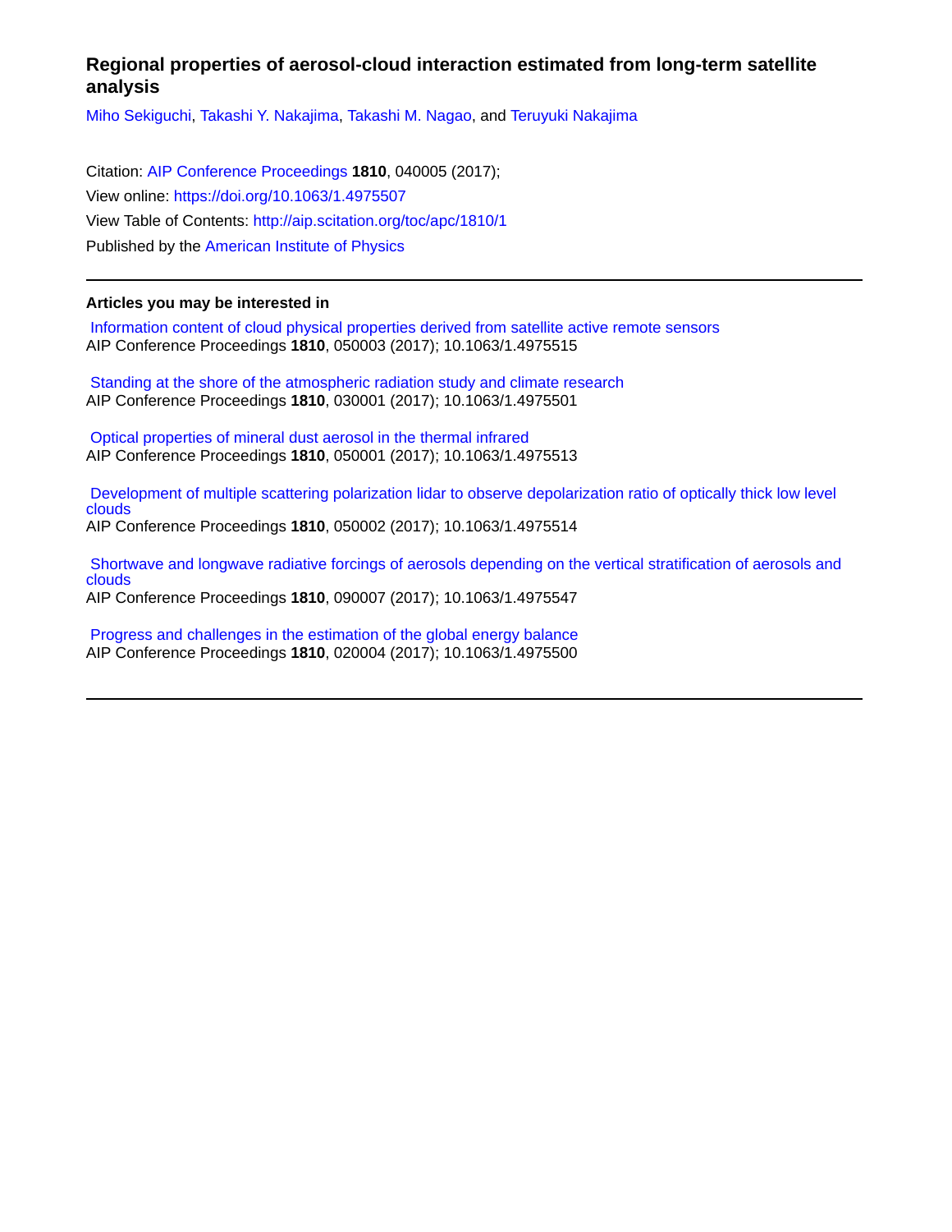## **Regional properties of aerosol-cloud interaction estimated from long-term satellite analysis**

[Miho Sekiguchi](http://aip.scitation.org/author/Sekiguchi%2C+Miho), [Takashi Y. Nakajima,](http://aip.scitation.org/author/Nakajima%2C+Takashi+Y) [Takashi M. Nagao,](http://aip.scitation.org/author/Nagao%2C+Takashi+M) and [Teruyuki Nakajima](http://aip.scitation.org/author/Nakajima%2C+Teruyuki)

Citation: [AIP Conference Proceedings](/loi/apc) **1810**, 040005 (2017); View online: <https://doi.org/10.1063/1.4975507> View Table of Contents: <http://aip.scitation.org/toc/apc/1810/1> Published by the [American Institute of Physics](http://aip.scitation.org/publisher/)

### **Articles you may be interested in**

 [Information content of cloud physical properties derived from satellite active remote sensors](http://aip.scitation.org/doi/abs/10.1063/1.4975515) AIP Conference Proceedings **1810**, 050003 (2017); 10.1063/1.4975515

 [Standing at the shore of the atmospheric radiation study and climate research](http://aip.scitation.org/doi/abs/10.1063/1.4975501) AIP Conference Proceedings **1810**, 030001 (2017); 10.1063/1.4975501

 [Optical properties of mineral dust aerosol in the thermal infrared](http://aip.scitation.org/doi/abs/10.1063/1.4975513) AIP Conference Proceedings **1810**, 050001 (2017); 10.1063/1.4975513

 [Development of multiple scattering polarization lidar to observe depolarization ratio of optically thick low level](http://aip.scitation.org/doi/abs/10.1063/1.4975514) [clouds](http://aip.scitation.org/doi/abs/10.1063/1.4975514) AIP Conference Proceedings **1810**, 050002 (2017); 10.1063/1.4975514

 [Shortwave and longwave radiative forcings of aerosols depending on the vertical stratification of aerosols and](http://aip.scitation.org/doi/abs/10.1063/1.4975547) [clouds](http://aip.scitation.org/doi/abs/10.1063/1.4975547) AIP Conference Proceedings **1810**, 090007 (2017); 10.1063/1.4975547

 [Progress and challenges in the estimation of the global energy balance](http://aip.scitation.org/doi/abs/10.1063/1.4975500) AIP Conference Proceedings **1810**, 020004 (2017); 10.1063/1.4975500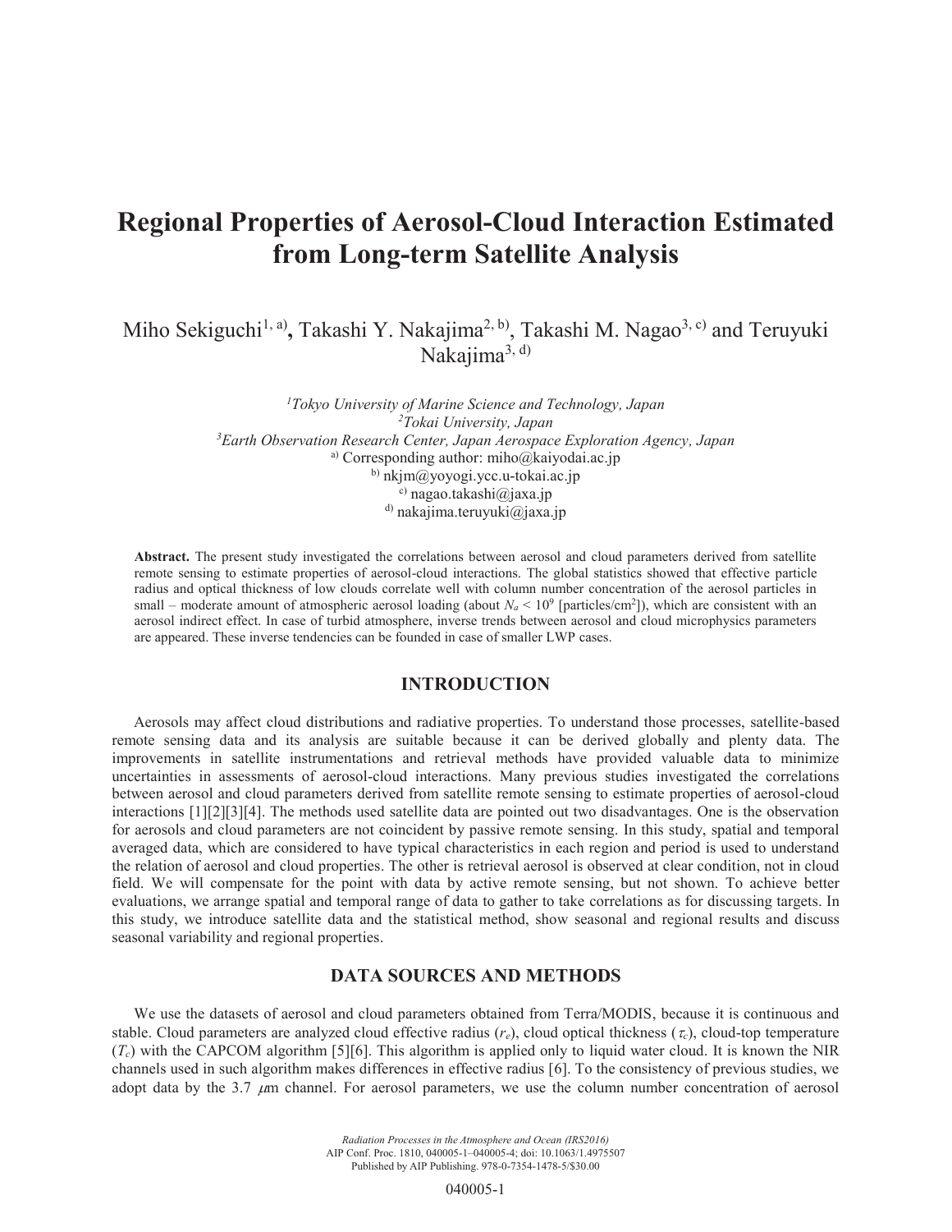# **Regional Properties of Aerosol-Cloud Interaction Estimated from Long-term Satellite Analysis**

Miho Sekiguchi<sup>1, a)</sup>, Takashi Y. Nakajima<sup>2, b)</sup>, Takashi M. Nagao<sup>3, c)</sup> and Teruyuki Nakajima<sup>3, d)</sup>

> *1 Tokyo University of Marine Science and Technology, Japan 2 Tokai University, Japan 3 Earth Observation Research Center, Japan Aerospace Exploration Agency, Japan*  a) Corresponding author: miho@kaiyodai.ac.jp  $(b)$  nkjm $(a)$ yoyogi.ycc.u-tokai.ac.jp c) nagao.takashi@jaxa.jp  $^{d)}$  nakajima.teruyuki@jaxa.jp

**Abstract.** The present study investigated the correlations between aerosol and cloud parameters derived from satellite remote sensing to estimate properties of aerosol-cloud interactions. The global statistics showed that effective particle radius and optical thickness of low clouds correlate well with column number concentration of the aerosol particles in small – moderate amount of atmospheric aerosol loading (about  $N_a < 10^9$  [particles/cm<sup>2</sup>]), which are consistent with an aerosol indirect effect. In case of turbid atmosphere, inverse trends between aerosol and cloud microphysics parameters are appeared. These inverse tendencies can be founded in case of smaller LWP cases.

### **INTRODUCTION**

Aerosols may affect cloud distributions and radiative properties. To understand those processes, satellite-based remote sensing data and its analysis are suitable because it can be derived globally and plenty data. The improvements in satellite instrumentations and retrieval methods have provided valuable data to minimize uncertainties in assessments of aerosol-cloud interactions. Many previous studies investigated the correlations between aerosol and cloud parameters derived from satellite remote sensing to estimate properties of aerosol-cloud interactions [1][2][3][4]. The methods used satellite data are pointed out two disadvantages. One is the observation for aerosols and cloud parameters are not coincident by passive remote sensing. In this study, spatial and temporal averaged data, which are considered to have typical characteristics in each region and period is used to understand the relation of aerosol and cloud properties. The other is retrieval aerosol is observed at clear condition, not in cloud field. We will compensate for the point with data by active remote sensing, but not shown. To achieve better evaluations, we arrange spatial and temporal range of data to gather to take correlations as for discussing targets. In this study, we introduce satellite data and the statistical method, show seasonal and regional results and discuss seasonal variability and regional properties.

## **DATA SOURCES AND METHODS**

We use the datasets of aerosol and cloud parameters obtained from Terra/MODIS, because it is continuous and stable. Cloud parameters are analyzed cloud effective radius  $(r_e)$ , cloud optical thickness  $(\tau_c)$ , cloud-top temperature  $(T_c)$  with the CAPCOM algorithm [5][6]. This algorithm is applied only to liquid water cloud. It is known the NIR channels used in such algorithm makes differences in effective radius [6]. To the consistency of previous studies, we adopt data by the 3.7  $\mu$ m channel. For aerosol parameters, we use the column number concentration of aerosol

> *Radiation Processes in the Atmosphere and Ocean (IRS2016)* AIP Conf. Proc. 1810, 040005-1–040005-4; doi: 10.1063/1.4975507 Published by AIP Publishing. 978-0-7354-1478-5/\$30.00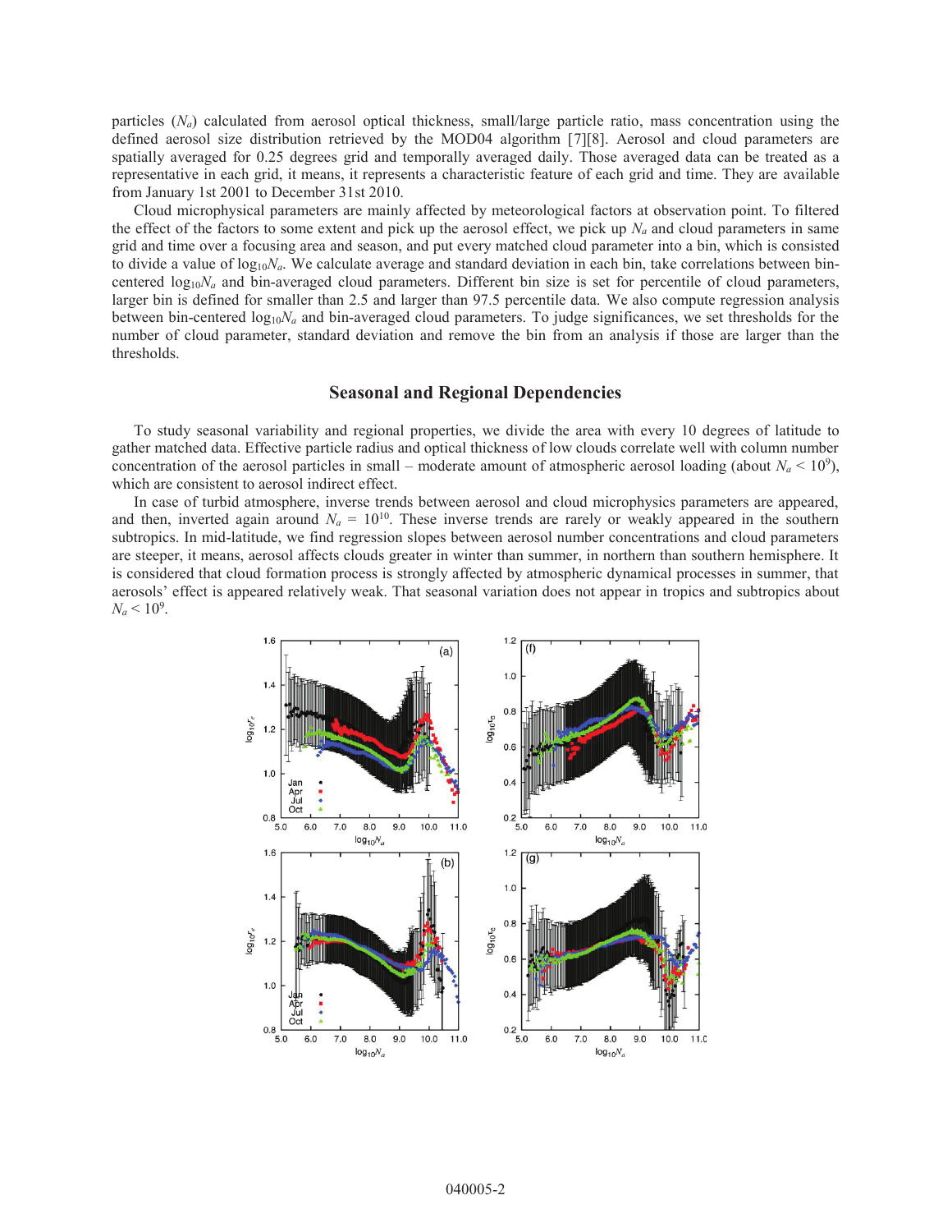particles (*Na*) calculated from aerosol optical thickness, small/large particle ratio, mass concentration using the defined aerosol size distribution retrieved by the MOD04 algorithm [7][8]. Aerosol and cloud parameters are spatially averaged for 0.25 degrees grid and temporally averaged daily. Those averaged data can be treated as a representative in each grid, it means, it represents a characteristic feature of each grid and time. They are available from January 1st 2001 to December 31st 2010.

Cloud microphysical parameters are mainly affected by meteorological factors at observation point. To filtered the effect of the factors to some extent and pick up the aerosol effect, we pick up  $N_a$  and cloud parameters in same grid and time over a focusing area and season, and put every matched cloud parameter into a bin, which is consisted to divide a value of log<sub>10</sub>*N<sub>a</sub>*. We calculate average and standard deviation in each bin, take correlations between bincentered log<sub>10</sub>*N<sub>a</sub>* and bin-averaged cloud parameters. Different bin size is set for percentile of cloud parameters, larger bin is defined for smaller than 2.5 and larger than 97.5 percentile data. We also compute regression analysis between bin-centered  $\log_{10}N_a$  and bin-averaged cloud parameters. To judge significances, we set thresholds for the number of cloud parameter, standard deviation and remove the bin from an analysis if those are larger than the thresholds.

#### **Seasonal and Regional Dependencies**

To study seasonal variability and regional properties, we divide the area with every 10 degrees of latitude to gather matched data. Effective particle radius and optical thickness of low clouds correlate well with column number concentration of the aerosol particles in small – moderate amount of atmospheric aerosol loading (about  $N_a < 10^9$ ), which are consistent to aerosol indirect effect.

In case of turbid atmosphere, inverse trends between aerosol and cloud microphysics parameters are appeared, and then, inverted again around  $N_a = 10^{10}$ . These inverse trends are rarely or weakly appeared in the southern subtropics. In mid-latitude, we find regression slopes between aerosol number concentrations and cloud parameters are steeper, it means, aerosol affects clouds greater in winter than summer, in northern than southern hemisphere. It is considered that cloud formation process is strongly affected by atmospheric dynamical processes in summer, that aerosols' effect is appeared relatively weak. That seasonal variation does not appear in tropics and subtropics about  $N_a < 10^9$ .

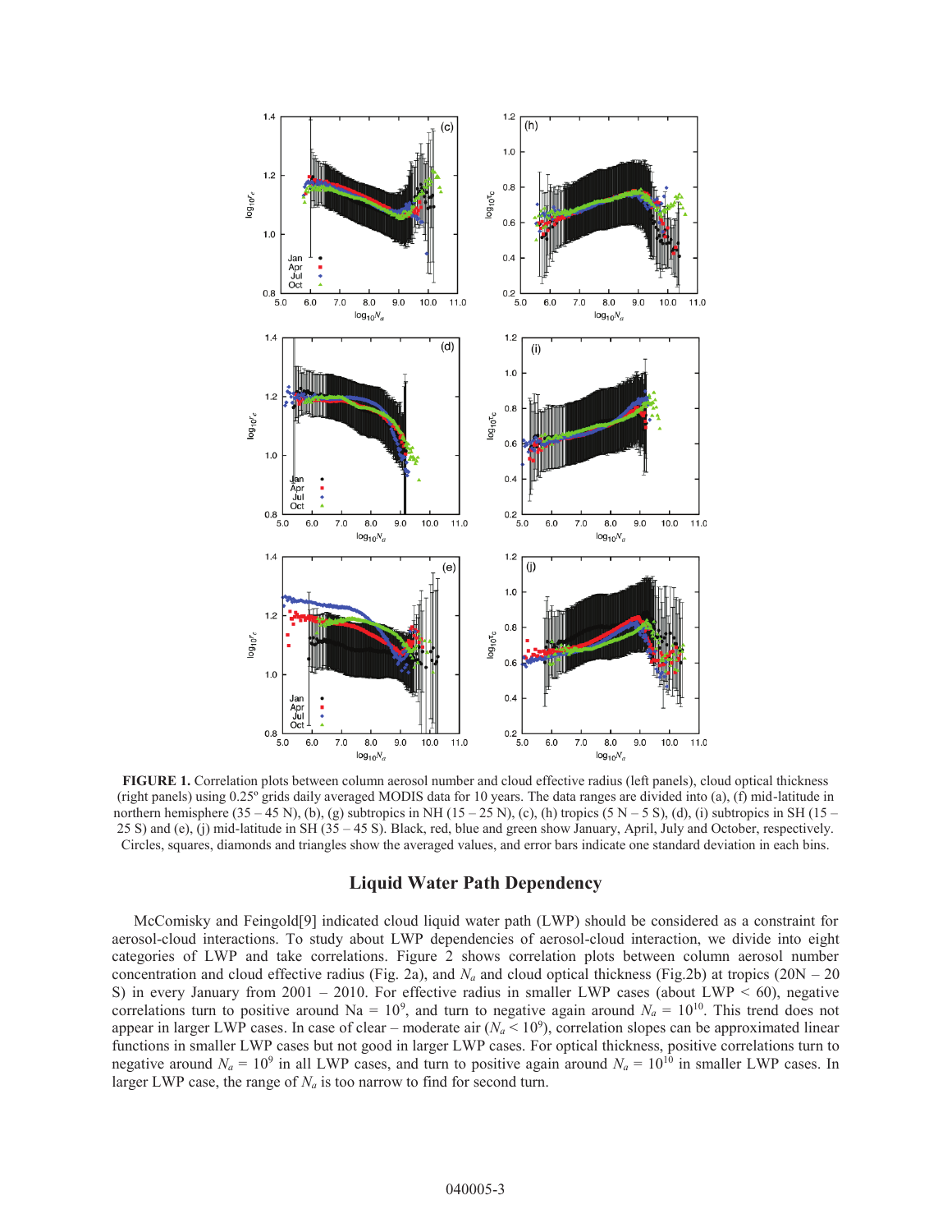

**FIGURE 1.** Correlation plots between column aerosol number and cloud effective radius (left panels), cloud optical thickness (right panels) using 0.25º grids daily averaged MODIS data for 10 years. The data ranges are divided into (a), (f) mid-latitude in northern hemisphere  $(35 - 45 \text{ N})$ , (b), (g) subtropics in NH  $(15 - 25 \text{ N})$ , (c), (h) tropics  $(5 \text{ N} - 5 \text{ S})$ , (d), (i) subtropics in SH (15 – 25 S) and (e), (j) mid-latitude in SH (35 – 45 S). Black, red, blue and green show January, April, July and October, respectively. Circles, squares, diamonds and triangles show the averaged values, and error bars indicate one standard deviation in each bins.

#### **Liquid Water Path Dependency**

McComisky and Feingold[9] indicated cloud liquid water path (LWP) should be considered as a constraint for aerosol-cloud interactions. To study about LWP dependencies of aerosol-cloud interaction, we divide into eight categories of LWP and take correlations. Figure 2 shows correlation plots between column aerosol number concentration and cloud effective radius (Fig. 2a), and  $N_a$  and cloud optical thickness (Fig.2b) at tropics (20N – 20 S) in every January from 2001 – 2010. For effective radius in smaller LWP cases (about LWP < 60), negative correlations turn to positive around Na =  $10^9$ , and turn to negative again around  $N_a = 10^{10}$ . This trend does not appear in larger LWP cases. In case of clear – moderate air  $(N_a < 10^9)$ , correlation slopes can be approximated linear functions in smaller LWP cases but not good in larger LWP cases. For optical thickness, positive correlations turn to negative around  $N_a = 10^9$  in all LWP cases, and turn to positive again around  $N_a = 10^{10}$  in smaller LWP cases. In larger LWP case, the range of  $N_a$  is too narrow to find for second turn.